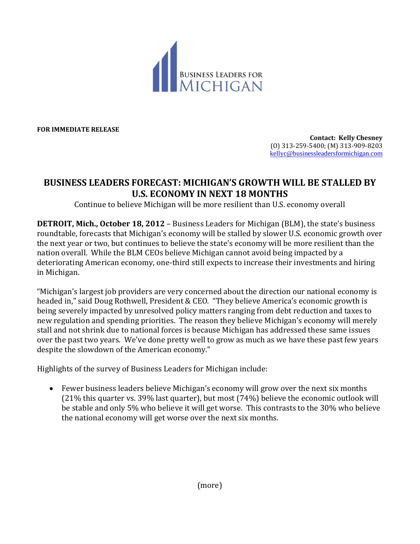

**FOR IMMEDIATE RELEASE**

**Contact: Kelly Chesney** (O) 313-259-5400; (M) 313-909-8203 [kellyc@businessleadersformichigan.com](mailto:kellyc@businessleadersformichigan.com)

## **BUSINESS LEADERS FORECAST: MICHIGAN'S GROWTH WILL BE STALLED BY U.S. ECONOMY IN NEXT 18 MONTHS**

Continue to believe Michigan will be more resilient than U.S. economy overall

**DETROIT, Mich., October 18, 2012** – Business Leaders for Michigan (BLM), the state's business roundtable, forecasts that Michigan's economy will be stalled by slower U.S. economic growth over the next year or two, but continues to believe the state's economy will be more resilient than the nation overall. While the BLM CEOs believe Michigan cannot avoid being impacted by a deteriorating American economy, one-third still expects to increase their investments and hiring in Michigan.

"Michigan's largest job providers are very concerned about the direction our national economy is headed in," said Doug Rothwell, President & CEO. "They believe America's economic growth is being severely impacted by unresolved policy matters ranging from debt reduction and taxes to new regulation and spending priorities. The reason they believe Michigan's economy will merely stall and not shrink due to national forces is because Michigan has addressed these same issues over the past two years. We've done pretty well to grow as much as we have these past few years despite the slowdown of the American economy."

Highlights of the survey of Business Leaders for Michigan include:

 Fewer business leaders believe Michigan's economy will grow over the next six months (21% this quarter vs. 39% last quarter), but most (74%) believe the economic outlook will be stable and only 5% who believe it will get worse. This contrasts to the 30% who believe the national economy will get worse over the next six months.